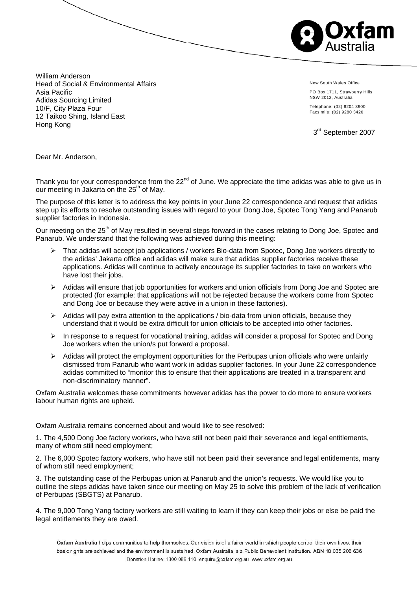

William Anderson Head of Social & Environmental Affairs Asia Pacific Adidas Sourcing Limited 10/F, City Plaza Four 12 Taikoo Shing, Island East Hong Kong

New South Wales Office PO Box 1711, Strawberry Hills NSW 2012, Australia Telephone: (02) 8204 3900

Facsimile: (02) 9280 3426

3<sup>rd</sup> September 2007

Dear Mr. Anderson,

Thank you for your correspondence from the  $22<sup>nd</sup>$  of June. We appreciate the time adidas was able to give us in our meeting in Jakarta on the 25<sup>th</sup> of May.

The purpose of this letter is to address the key points in your June 22 correspondence and request that adidas step up its efforts to resolve outstanding issues with regard to your Dong Joe, Spotec Tong Yang and Panarub supplier factories in Indonesia.

Our meeting on the 25<sup>th</sup> of May resulted in several steps forward in the cases relating to Dong Joe, Spotec and Panarub. We understand that the following was achieved during this meeting:

- ¾ That adidas will accept job applications / workers Bio-data from Spotec, Dong Joe workers directly to the adidas' Jakarta office and adidas will make sure that adidas supplier factories receive these applications. Adidas will continue to actively encourage its supplier factories to take on workers who have lost their jobs.
- $\triangleright$  Adidas will ensure that job opportunities for workers and union officials from Dong Joe and Spotec are protected (for example: that applications will not be rejected because the workers come from Spotec and Dong Joe or because they were active in a union in these factories).
- $\triangleright$  Adidas will pay extra attention to the applications / bio-data from union officials, because they understand that it would be extra difficult for union officials to be accepted into other factories.
- ¾ In response to a request for vocational training, adidas will consider a proposal for Spotec and Dong Joe workers when the union/s put forward a proposal.
- $\triangleright$  Adidas will protect the employment opportunities for the Perbupas union officials who were unfairly dismissed from Panarub who want work in adidas supplier factories. In your June 22 correspondence adidas committed to "monitor this to ensure that their applications are treated in a transparent and non-discriminatory manner".

Oxfam Australia welcomes these commitments however adidas has the power to do more to ensure workers labour human rights are upheld.

Oxfam Australia remains concerned about and would like to see resolved:

1. The 4,500 Dong Joe factory workers, who have still not been paid their severance and legal entitlements, many of whom still need employment;

2. The 6,000 Spotec factory workers, who have still not been paid their severance and legal entitlements, many of whom still need employment;

3. The outstanding case of the Perbupas union at Panarub and the union's requests. We would like you to outline the steps adidas have taken since our meeting on May 25 to solve this problem of the lack of verification of Perbupas (SBGTS) at Panarub.

4. The 9,000 Tong Yang factory workers are still waiting to learn if they can keep their jobs or else be paid the legal entitlements they are owed.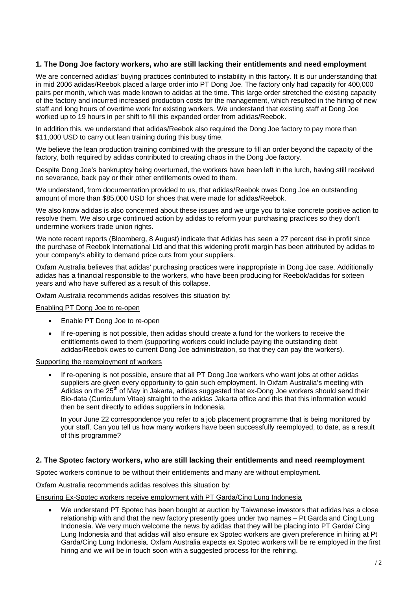## **1. The Dong Joe factory workers, who are still lacking their entitlements and need employment**

We are concerned adidias' buying practices contributed to instability in this factory. It is our understanding that in mid 2006 adidas/Reebok placed a large order into PT Dong Joe. The factory only had capacity for 400,000 pairs per month, which was made known to adidas at the time. This large order stretched the existing capacity of the factory and incurred increased production costs for the management, which resulted in the hiring of new staff and long hours of overtime work for existing workers. We understand that existing staff at Dong Joe worked up to 19 hours in per shift to fill this expanded order from adidas/Reebok.

In addition this, we understand that adidas/Reebok also required the Dong Joe factory to pay more than \$11,000 USD to carry out lean training during this busy time.

We believe the lean production training combined with the pressure to fill an order beyond the capacity of the factory, both required by adidas contributed to creating chaos in the Dong Joe factory.

Despite Dong Joe's bankruptcy being overturned, the workers have been left in the lurch, having still received no severance, back pay or their other entitlements owed to them.

We understand, from documentation provided to us, that adidas/Reebok owes Dong Joe an outstanding amount of more than \$85,000 USD for shoes that were made for adidas/Reebok.

We also know adidas is also concerned about these issues and we urge you to take concrete positive action to resolve them. We also urge continued action by adidas to reform your purchasing practices so they don't undermine workers trade union rights.

We note recent reports (Bloomberg, 8 August) indicate that Adidas has seen a 27 percent rise in profit since the purchase of Reebok International Ltd and that this widening profit margin has been attributed by adidas to your company's ability to demand price cuts from your suppliers.

Oxfam Australia believes that adidas' purchasing practices were inappropriate in Dong Joe case. Additionally adidas has a financial responsible to the workers, who have been producing for Reebok/adidas for sixteen years and who have suffered as a result of this collapse.

Oxfam Australia recommends adidas resolves this situation by:

Enabling PT Dong Joe to re-open

- Enable PT Dong Joe to re-open
- If re-opening is not possible, then adidas should create a fund for the workers to receive the entitlements owed to them (supporting workers could include paying the outstanding debt adidas/Reebok owes to current Dong Joe administration, so that they can pay the workers).

Supporting the reemployment of workers

• If re-opening is not possible, ensure that all PT Dong Joe workers who want jobs at other adidas suppliers are given every opportunity to gain such employment. In Oxfam Australia's meeting with Adidas on the  $25<sup>th</sup>$  of May in Jakarta, adidas suggested that ex-Dong Joe workers should send their Bio-data (Curriculum Vitae) straight to the adidas Jakarta office and this that this information would then be sent directly to adidas suppliers in Indonesia.

In your June 22 correspondence you refer to a job placement programme that is being monitored by your staff. Can you tell us how many workers have been successfully reemployed, to date, as a result of this programme?

#### **2. The Spotec factory workers, who are still lacking their entitlements and need reemployment**

Spotec workers continue to be without their entitlements and many are without employment.

Oxfam Australia recommends adidas resolves this situation by:

#### Ensuring Ex-Spotec workers receive employment with PT Garda/Cing Lung Indonesia

• We understand PT Spotec has been bought at auction by Taiwanese investors that adidas has a close relationship with and that the new factory presently goes under two names – Pt Garda and Cing Lung Indonesia. We very much welcome the news by adidas that they will be placing into PT Garda/ Cing Lung Indonesia and that adidas will also ensure ex Spotec workers are given preference in hiring at Pt Garda/Cing Lung Indonesia. Oxfam Australia expects ex Spotec workers will be re employed in the first hiring and we will be in touch soon with a suggested process for the rehiring.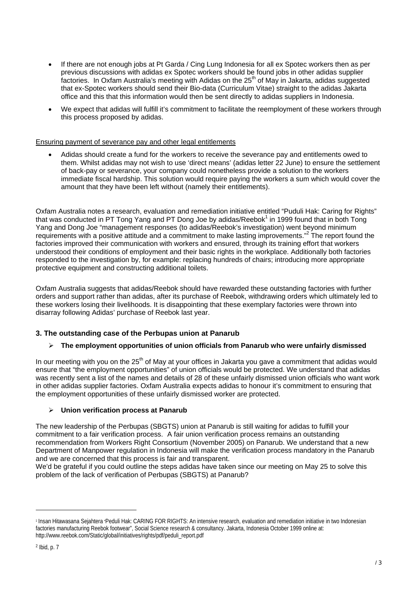- If there are not enough jobs at Pt Garda / Cing Lung Indonesia for all ex Spotec workers then as per previous discussions with adidas ex Spotec workers should be found jobs in other adidas supplier factories. In Oxfam Australia's meeting with Adidas on the  $25<sup>th</sup>$  of May in Jakarta, adidas suggested that ex-Spotec workers should send their Bio-data (Curriculum Vitae) straight to the adidas Jakarta office and this that this information would then be sent directly to adidas suppliers in Indonesia.
- We expect that adidas will fulfill it's commitment to facilitate the reemployment of these workers through this process proposed by adidas.

## Ensuring payment of severance pay and other legal entitlements

• Adidas should create a fund for the workers to receive the severance pay and entitlements owed to them. Whilst adidas may not wish to use 'direct means' (adidas letter 22 June) to ensure the settlement of back-pay or severance, your company could nonetheless provide a solution to the workers immediate fiscal hardship. This solution would require paying the workers a sum which would cover the amount that they have been left without (namely their entitlements).

Oxfam Australia notes a research, evaluation and remediation initiative entitled "Puduli Hak: Caring for Rights" that was conducted in PT Tong Yang and PT Dong Joe by adidas/Reebok $^1$  in 1999 found that in both Tong Yang and Dong Joe "management responses (to adidas/Reebok's investigation) went beyond minimum requirements with a positive attitude and a commitment to make lasting improvements."<sup>2</sup> The report found the factories improved their communication with workers and ensured, through its training effort that workers understood their conditions of employment and their basic rights in the workplace. Additionally both factories responded to the investigation by, for example: replacing hundreds of chairs; introducing more appropriate protective equipment and constructing additional toilets.

Oxfam Australia suggests that adidas/Reebok should have rewarded these outstanding factories with further orders and support rather than adidas, after its purchase of Reebok, withdrawing orders which ultimately led to these workers losing their livelihoods. It is disappointing that these exemplary factories were thrown into disarray following Adidas' purchase of Reebok last year.

# **3. The outstanding case of the Perbupas union at Panarub**

# ¾ **The employment opportunities of union officials from Panarub who were unfairly dismissed**

In our meeting with you on the  $25<sup>th</sup>$  of May at your offices in Jakarta you gave a commitment that adidas would ensure that "the employment opportunities" of union officials would be protected. We understand that adidas was recently sent a list of the names and details of 28 of these unfairly dismissed union officials who want work in other adidas supplier factories. Oxfam Australia expects adidas to honour it's commitment to ensuring that the employment opportunities of these unfairly dismissed worker are protected.

# ¾ **Union verification process at Panarub**

The new leadership of the Perbupas (SBGTS) union at Panarub is still waiting for adidas to fulfill your commitment to a fair verification process. A fair union verification process remains an outstanding recommendation from Workers Right Consortium (November 2005) on Panarub. We understand that a new Department of Manpower regulation in Indonesia will make the verification process mandatory in the Panarub and we are concerned that this process is fair and transparent.

We'd be grateful if you could outline the steps adidas have taken since our meeting on May 25 to solve this problem of the lack of verification of Perbupas (SBGTS) at Panarub?

l

<sup>1</sup> Insan Hitawasana Sejahtera "Peduli Hak: CARING FOR RIGHTS: An intensive research, evaluation and remediation initiative in two Indonesian factories manufacturing Reebok footwear", Social Science research & consultancy. Jakarta, Indonesia October 1999 online at: http://www.reebok.com/Static/global/initiatives/rights/pdf/peduli\_report.pdf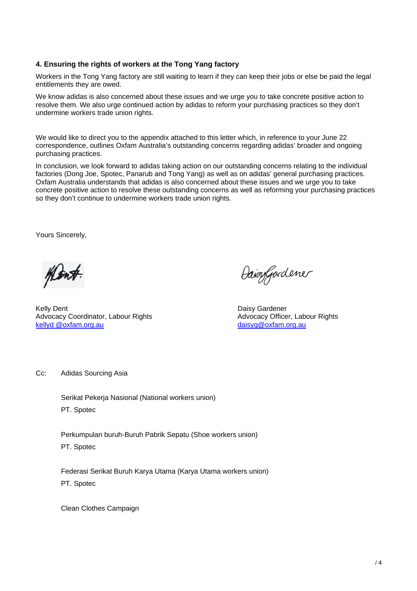## **4. Ensuring the rights of workers at the Tong Yang factory**

Workers in the Tong Yang factory are still waiting to learn if they can keep their jobs or else be paid the legal entitlements they are owed.

We know adidas is also concerned about these issues and we urge you to take concrete positive action to resolve them. We also urge continued action by adidas to reform your purchasing practices so they don't undermine workers trade union rights.

We would like to direct you to the appendix attached to this letter which, in reference to your June 22 correspondence, outlines Oxfam Australia's outstanding concerns regarding adidas' broader and ongoing purchasing practices.

In conclusion, we look forward to adidas taking action on our outstanding concerns relating to the individual factories (Dong Joe, Spotec, Panarub and Tong Yang) as well as on adidas' general purchasing practices. Oxfam Australia understands that adidas is also concerned about these issues and we urge you to take concrete positive action to resolve these outstanding concerns as well as reforming your purchasing practices so they don't continue to undermine workers trade union rights.

Yours Sincerely,

Kelly Dent **Daisy Gardener** Communication Communication Communication Communication Communication Communication Communication Communication Communication Communication Communication Communication Communication Communicatio Advocacy Coordinator, Labour Rights **Advocacy Officer**, Labour Rights Advocacy Officer, Labour Rights kellyd @oxfam.org.au daisyg@oxfam.org.au

Daisygardener

Cc: Adidas Sourcing Asia

Serikat Pekerja Nasional (National workers union) PT. Spotec

Perkumpulan buruh-Buruh Pabrik Sepatu (Shoe workers union) PT. Spotec

Federasi Serikat Buruh Karya Utama (Karya Utama workers union) PT. Spotec

Clean Clothes Campaign